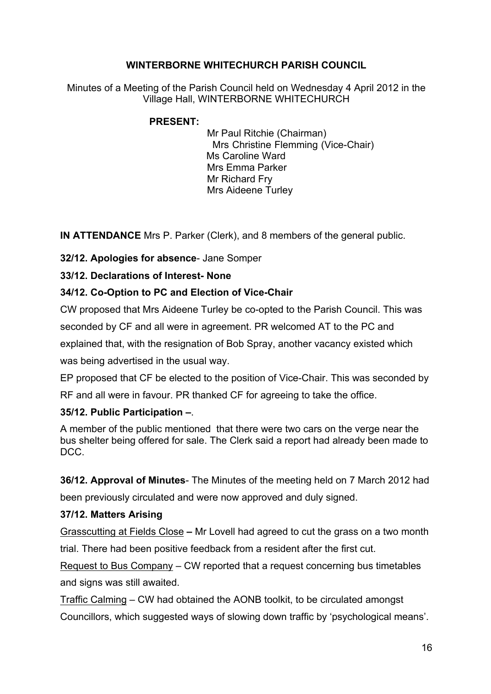# **WINTERBORNE WHITECHURCH PARISH COUNCIL**

Minutes of a Meeting of the Parish Council held on Wednesday 4 April 2012 in the Village Hall, WINTERBORNE WHITECHURCH

### **PRESENT:**

 Mr Paul Ritchie (Chairman) Mrs Christine Flemming (Vice-Chair) Ms Caroline Ward Mrs Emma Parker Mr Richard Fry Mrs Aideene Turley

**IN ATTENDANCE** Mrs P. Parker (Clerk), and 8 members of the general public.

**32/12. Apologies for absence**- Jane Somper

### **33/12. Declarations of Interest- None**

# **34/12. Co-Option to PC and Election of Vice-Chair**

CW proposed that Mrs Aideene Turley be co-opted to the Parish Council. This was seconded by CF and all were in agreement. PR welcomed AT to the PC and

explained that, with the resignation of Bob Spray, another vacancy existed which

was being advertised in the usual way.

EP proposed that CF be elected to the position of Vice-Chair. This was seconded by

RF and all were in favour. PR thanked CF for agreeing to take the office.

### **35/12. Public Participation –**.

A member of the public mentioned that there were two cars on the verge near the bus shelter being offered for sale. The Clerk said a report had already been made to DCC.

**36/12. Approval of Minutes**- The Minutes of the meeting held on 7 March 2012 had been previously circulated and were now approved and duly signed.

### **37/12. Matters Arising**

Grasscutting at Fields Close **–** Mr Lovell had agreed to cut the grass on a two month trial. There had been positive feedback from a resident after the first cut.

Request to Bus Company – CW reported that a request concerning bus timetables and signs was still awaited.

Traffic Calming – CW had obtained the AONB toolkit, to be circulated amongst

Councillors, which suggested ways of slowing down traffic by 'psychological means'.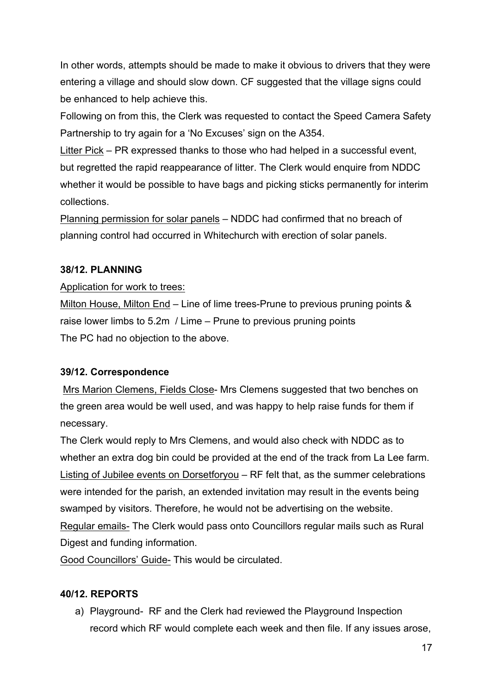In other words, attempts should be made to make it obvious to drivers that they were entering a village and should slow down. CF suggested that the village signs could be enhanced to help achieve this.

Following on from this, the Clerk was requested to contact the Speed Camera Safety Partnership to try again for a 'No Excuses' sign on the A354.

Litter Pick – PR expressed thanks to those who had helped in a successful event, but regretted the rapid reappearance of litter. The Clerk would enquire from NDDC whether it would be possible to have bags and picking sticks permanently for interim collections.

Planning permission for solar panels – NDDC had confirmed that no breach of planning control had occurred in Whitechurch with erection of solar panels.

### **38/12. PLANNING**

#### Application for work to trees:

Milton House, Milton End – Line of lime trees-Prune to previous pruning points & raise lower limbs to 5.2m / Lime – Prune to previous pruning points The PC had no objection to the above.

### **39/12. Correspondence**

Mrs Marion Clemens, Fields Close- Mrs Clemens suggested that two benches on the green area would be well used, and was happy to help raise funds for them if necessary.

The Clerk would reply to Mrs Clemens, and would also check with NDDC as to whether an extra dog bin could be provided at the end of the track from La Lee farm. Listing of Jubilee events on Dorsetforyou – RF felt that, as the summer celebrations were intended for the parish, an extended invitation may result in the events being swamped by visitors. Therefore, he would not be advertising on the website. Regular emails- The Clerk would pass onto Councillors regular mails such as Rural Digest and funding information.

Good Councillors' Guide- This would be circulated.

### **40/12. REPORTS**

a) Playground- RF and the Clerk had reviewed the Playground Inspection record which RF would complete each week and then file. If any issues arose,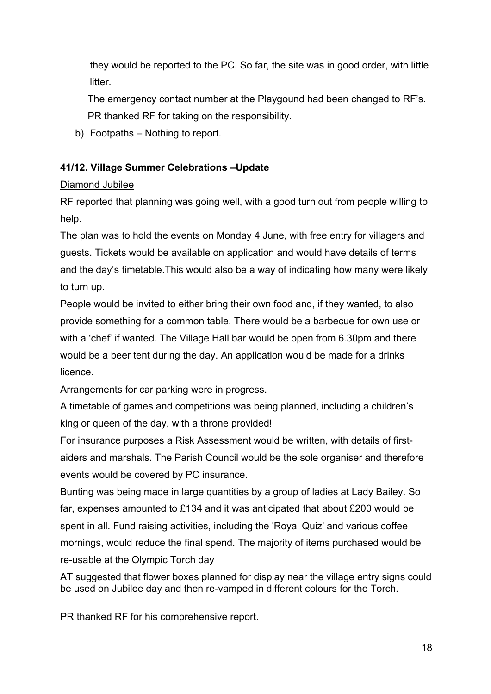they would be reported to the PC. So far, the site was in good order, with little litter.

 The emergency contact number at the Playgound had been changed to RF's. PR thanked RF for taking on the responsibility.

b) Footpaths – Nothing to report.

# **41/12. Village Summer Celebrations –Update**

# Diamond Jubilee

RF reported that planning was going well, with a good turn out from people willing to help.

The plan was to hold the events on Monday 4 June, with free entry for villagers and guests. Tickets would be available on application and would have details of terms and the day's timetable.This would also be a way of indicating how many were likely to turn up.

People would be invited to either bring their own food and, if they wanted, to also provide something for a common table. There would be a barbecue for own use or with a 'chef' if wanted. The Village Hall bar would be open from 6.30pm and there would be a beer tent during the day. An application would be made for a drinks licence.

Arrangements for car parking were in progress.

A timetable of games and competitions was being planned, including a children's king or queen of the day, with a throne provided!

For insurance purposes a Risk Assessment would be written, with details of firstaiders and marshals. The Parish Council would be the sole organiser and therefore events would be covered by PC insurance.

Bunting was being made in large quantities by a group of ladies at Lady Bailey. So far, expenses amounted to £134 and it was anticipated that about £200 would be spent in all. Fund raising activities, including the 'Royal Quiz' and various coffee mornings, would reduce the final spend. The majority of items purchased would be re-usable at the Olympic Torch day

AT suggested that flower boxes planned for display near the village entry signs could be used on Jubilee day and then re-vamped in different colours for the Torch.

PR thanked RF for his comprehensive report.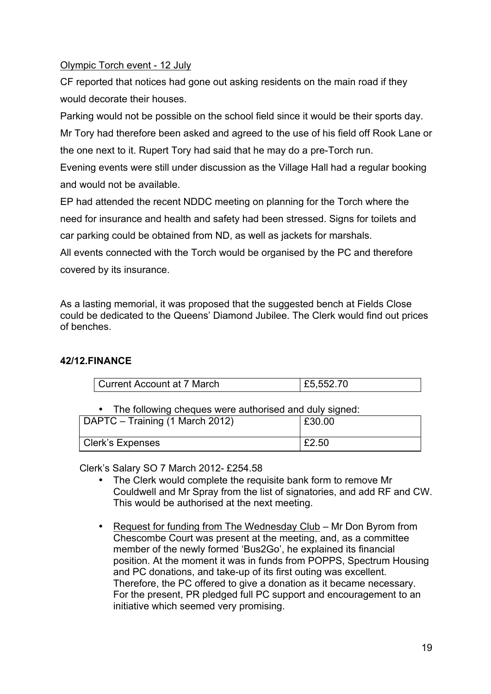### Olympic Torch event - 12 July

CF reported that notices had gone out asking residents on the main road if they would decorate their houses.

Parking would not be possible on the school field since it would be their sports day. Mr Tory had therefore been asked and agreed to the use of his field off Rook Lane or the one next to it. Rupert Tory had said that he may do a pre-Torch run.

Evening events were still under discussion as the Village Hall had a regular booking and would not be available.

EP had attended the recent NDDC meeting on planning for the Torch where the need for insurance and health and safety had been stressed. Signs for toilets and car parking could be obtained from ND, as well as jackets for marshals.

All events connected with the Torch would be organised by the PC and therefore covered by its insurance.

As a lasting memorial, it was proposed that the suggested bench at Fields Close could be dedicated to the Queens' Diamond Jubilee. The Clerk would find out prices of benches.

# **42/12.FINANCE**

| Current Account at 7 March | £5,552.70 |
|----------------------------|-----------|

• The following cheques were authorised and duly signed:

| DAPTC – Training (1 March 2012) | £30.00 |
|---------------------------------|--------|
| <b>Clerk's Expenses</b>         | £2.50  |

Clerk's Salary SO 7 March 2012- £254.58

- The Clerk would complete the requisite bank form to remove Mr Couldwell and Mr Spray from the list of signatories, and add RF and CW. This would be authorised at the next meeting.
- Request for funding from The Wednesday Club Mr Don Byrom from Chescombe Court was present at the meeting, and, as a committee member of the newly formed 'Bus2Go', he explained its financial position. At the moment it was in funds from POPPS, Spectrum Housing and PC donations, and take-up of its first outing was excellent. Therefore, the PC offered to give a donation as it became necessary. For the present, PR pledged full PC support and encouragement to an initiative which seemed very promising.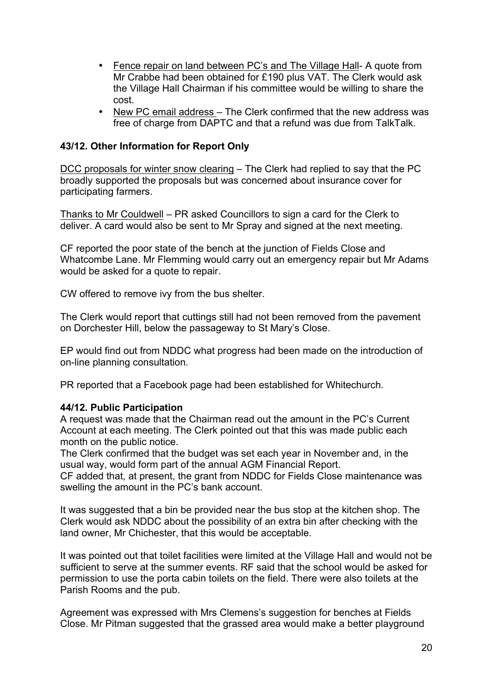- Fence repair on land between PC's and The Village Hall- A quote from Mr Crabbe had been obtained for £190 plus VAT. The Clerk would ask the Village Hall Chairman if his committee would be willing to share the cost.
- New PC email address The Clerk confirmed that the new address was free of charge from DAPTC and that a refund was due from TalkTalk.

#### **43/12. Other Information for Report Only**

DCC proposals for winter snow clearing – The Clerk had replied to say that the PC broadly supported the proposals but was concerned about insurance cover for participating farmers.

Thanks to Mr Couldwell – PR asked Councillors to sign a card for the Clerk to deliver. A card would also be sent to Mr Spray and signed at the next meeting.

CF reported the poor state of the bench at the junction of Fields Close and Whatcombe Lane. Mr Flemming would carry out an emergency repair but Mr Adams would be asked for a quote to repair.

CW offered to remove ivy from the bus shelter.

The Clerk would report that cuttings still had not been removed from the pavement on Dorchester Hill, below the passageway to St Mary's Close.

EP would find out from NDDC what progress had been made on the introduction of on-line planning consultation.

PR reported that a Facebook page had been established for Whitechurch.

#### **44/12. Public Participation**

A request was made that the Chairman read out the amount in the PC's Current Account at each meeting. The Clerk pointed out that this was made public each month on the public notice.

The Clerk confirmed that the budget was set each year in November and, in the usual way, would form part of the annual AGM Financial Report.

CF added that, at present, the grant from NDDC for Fields Close maintenance was swelling the amount in the PC's bank account.

It was suggested that a bin be provided near the bus stop at the kitchen shop. The Clerk would ask NDDC about the possibility of an extra bin after checking with the land owner, Mr Chichester, that this would be acceptable.

It was pointed out that toilet facilities were limited at the Village Hall and would not be sufficient to serve at the summer events. RF said that the school would be asked for permission to use the porta cabin toilets on the field. There were also toilets at the Parish Rooms and the pub.

Agreement was expressed with Mrs Clemens's suggestion for benches at Fields Close. Mr Pitman suggested that the grassed area would make a better playground